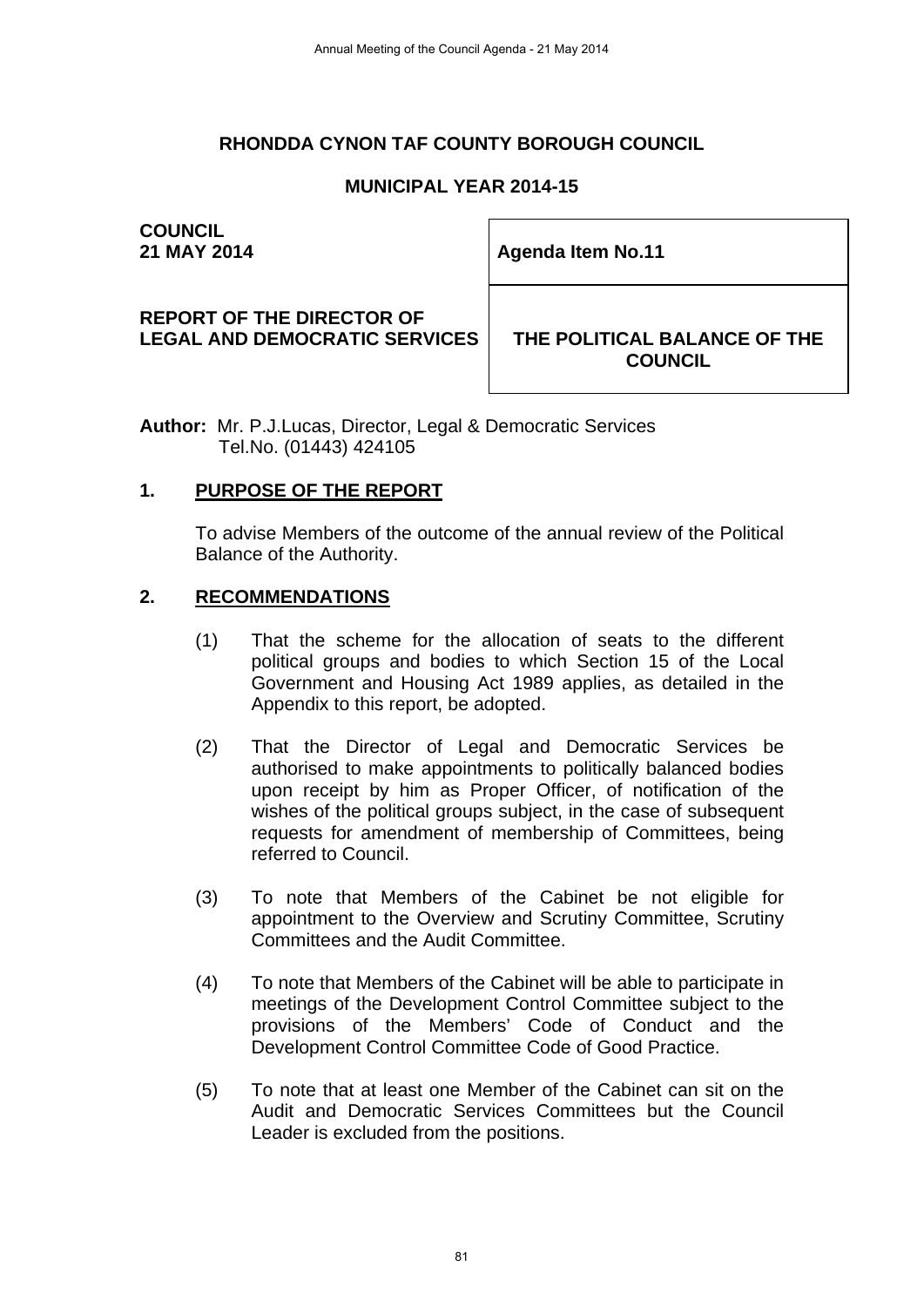# **RHONDDA CYNON TAF COUNTY BOROUGH COUNCIL**

# **MUNICIPAL YEAR 2014-15**

# **COUNCIL**

**21 MAY 2014 Agenda Item No.11 Agenda Item No.11** 

#### **REPORT OF THE DIRECTOR OF**  LEGAL AND DEMOCRATIC SERVICES **THE POLITICAL BALANCE OF THE**

**COUNCIL** 

**Author:** Mr. P.J.Lucas, Director, Legal & Democratic Services Tel.No. (01443) 424105

#### **1. PURPOSE OF THE REPORT**

To advise Members of the outcome of the annual review of the Political Balance of the Authority.

#### **2. RECOMMENDATIONS**

- (1) That the scheme for the allocation of seats to the different political groups and bodies to which Section 15 of the Local Government and Housing Act 1989 applies, as detailed in the Appendix to this report, be adopted.
- (2) That the Director of Legal and Democratic Services be authorised to make appointments to politically balanced bodies upon receipt by him as Proper Officer, of notification of the wishes of the political groups subject, in the case of subsequent requests for amendment of membership of Committees, being referred to Council.
- (3) To note that Members of the Cabinet be not eligible for appointment to the Overview and Scrutiny Committee, Scrutiny Committees and the Audit Committee.
- (4) To note that Members of the Cabinet will be able to participate in meetings of the Development Control Committee subject to the provisions of the Members' Code of Conduct and the Development Control Committee Code of Good Practice.
- (5) To note that at least one Member of the Cabinet can sit on the Audit and Democratic Services Committees but the Council Leader is excluded from the positions.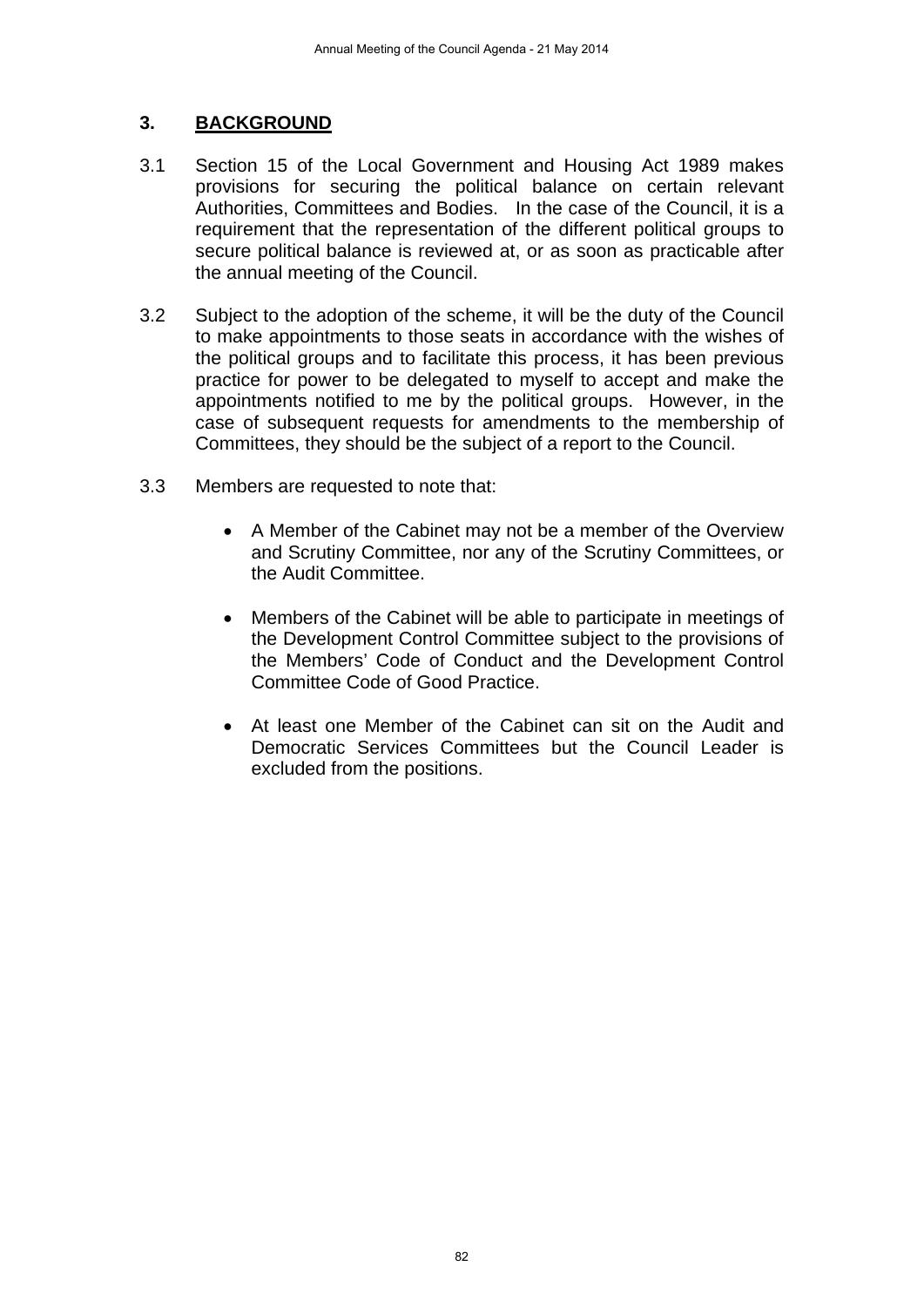# **3. BACKGROUND**

- 3.1 Section 15 of the Local Government and Housing Act 1989 makes provisions for securing the political balance on certain relevant Authorities, Committees and Bodies. In the case of the Council, it is a requirement that the representation of the different political groups to secure political balance is reviewed at, or as soon as practicable after the annual meeting of the Council.
- 3.2 Subject to the adoption of the scheme, it will be the duty of the Council to make appointments to those seats in accordance with the wishes of the political groups and to facilitate this process, it has been previous practice for power to be delegated to myself to accept and make the appointments notified to me by the political groups. However, in the case of subsequent requests for amendments to the membership of Committees, they should be the subject of a report to the Council.
- 3.3 Members are requested to note that:
	- A Member of the Cabinet may not be a member of the Overview and Scrutiny Committee, nor any of the Scrutiny Committees, or the Audit Committee.
	- Members of the Cabinet will be able to participate in meetings of the Development Control Committee subject to the provisions of the Members' Code of Conduct and the Development Control Committee Code of Good Practice.
	- At least one Member of the Cabinet can sit on the Audit and Democratic Services Committees but the Council Leader is excluded from the positions.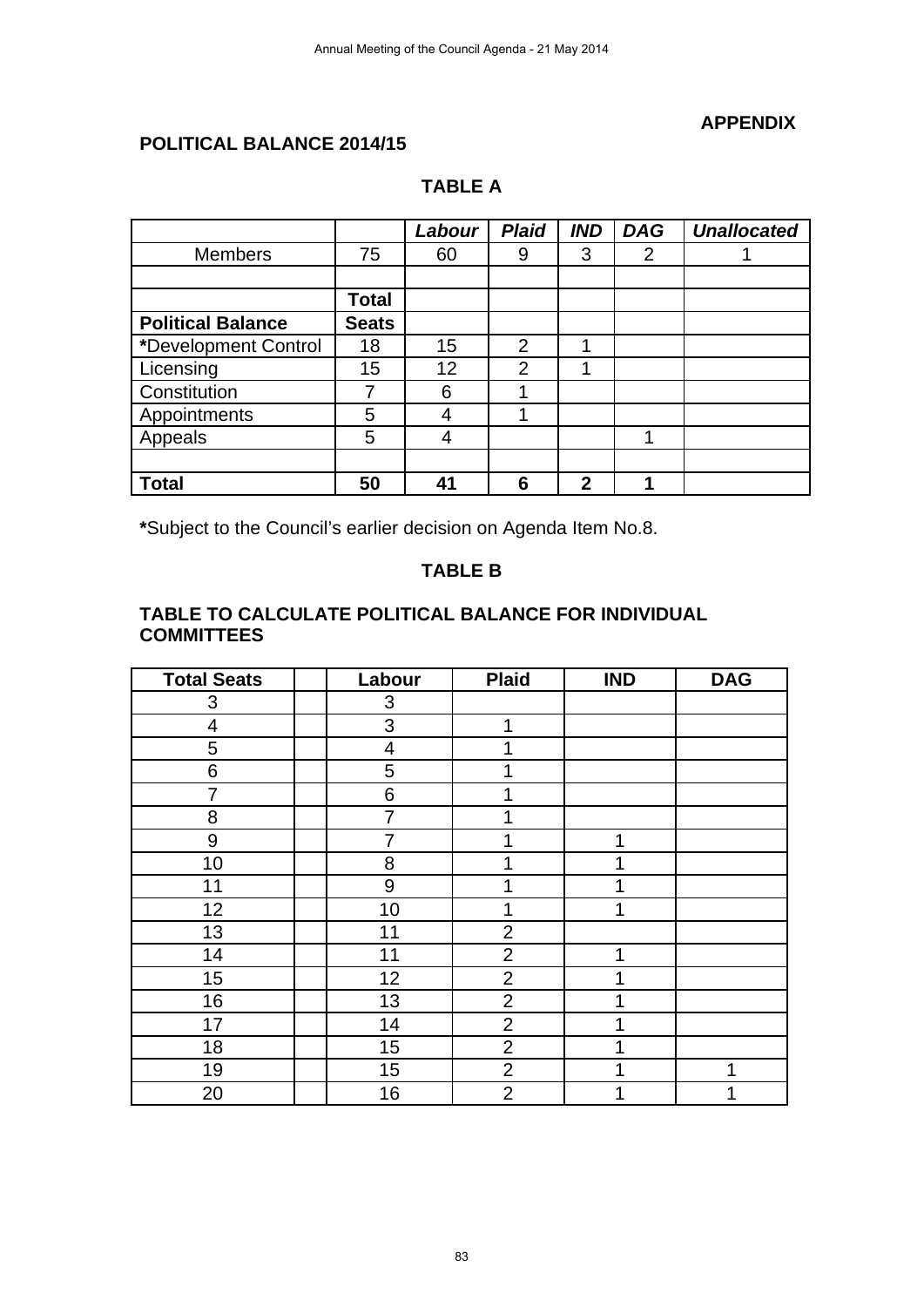#### **APPENDIX**

### **POLITICAL BALANCE 2014/15**

# **TABLE A**

|                          |              | Labour | <b>Plaid</b>   | <b>IND</b>   | <b>DAG</b> | <b>Unallocated</b> |
|--------------------------|--------------|--------|----------------|--------------|------------|--------------------|
| <b>Members</b>           | 75           | 60     | 9              | 3            | 2          |                    |
|                          |              |        |                |              |            |                    |
|                          | Total        |        |                |              |            |                    |
| <b>Political Balance</b> | <b>Seats</b> |        |                |              |            |                    |
| *Development Control     | 18           | 15     | $\mathfrak{p}$ | 1            |            |                    |
| Licensing                | 15           | 12     | $\overline{2}$ | 1            |            |                    |
| Constitution             | 7            | 6      |                |              |            |                    |
| Appointments             | 5            | 4      |                |              |            |                    |
| Appeals                  | 5            | 4      |                |              | и          |                    |
|                          |              |        |                |              |            |                    |
| <b>Total</b>             | 50           | 41     | 6              | $\mathbf{2}$ |            |                    |

**\***Subject to the Council's earlier decision on Agenda Item No.8.

## **TABLE B**

#### **TABLE TO CALCULATE POLITICAL BALANCE FOR INDIVIDUAL COMMITTEES**

| <b>Total Seats</b> | Labour | <b>Plaid</b>   | <b>IND</b> | <b>DAG</b> |
|--------------------|--------|----------------|------------|------------|
| 3                  | 3      |                |            |            |
| 4                  | 3      | 1              |            |            |
| 5                  | 4      |                |            |            |
| 6                  | 5      |                |            |            |
| 7                  | 6      |                |            |            |
| 8                  | 7      |                |            |            |
| 9                  | 7      |                | 1          |            |
| 10                 | 8      |                | 1          |            |
| 11                 | 9      |                | 4          |            |
| 12                 | 10     |                | 1          |            |
| 13                 | 11     | $\overline{2}$ |            |            |
| 14                 | 11     | $\overline{2}$ | 1          |            |
| 15                 | 12     | $\overline{2}$ | 1          |            |
| 16                 | 13     | $\overline{2}$ | 1          |            |
| 17                 | 14     | $\overline{2}$ | 1          |            |
| 18                 | 15     | $\overline{2}$ | 1          |            |
| 19                 | 15     | $\overline{2}$ | 1          |            |
| 20                 | 16     | $\overline{2}$ | 1          |            |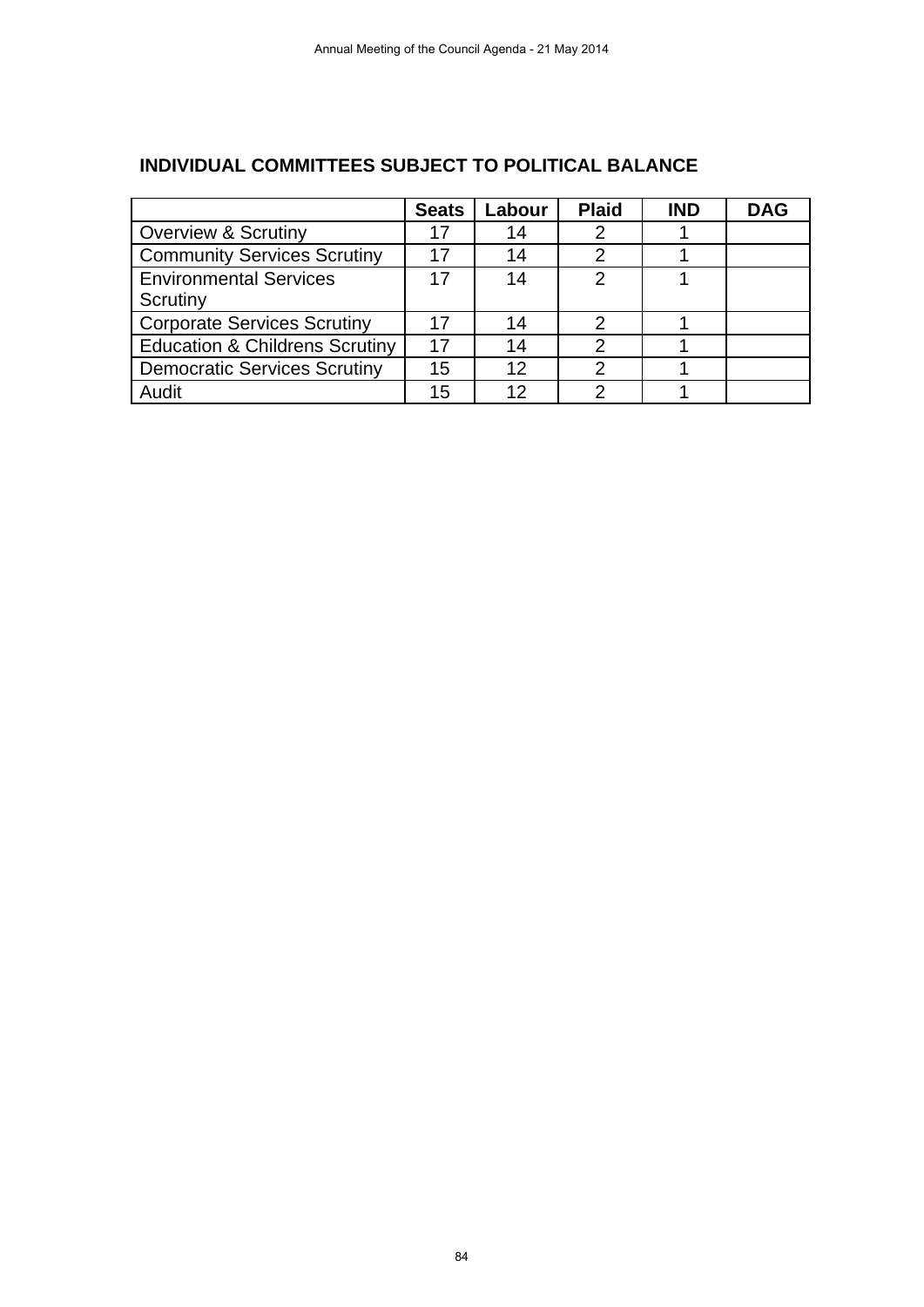|                                           | <b>Seats</b> | Labour | <b>Plaid</b> | <b>IND</b> | <b>DAG</b> |
|-------------------------------------------|--------------|--------|--------------|------------|------------|
| <b>Overview &amp; Scrutiny</b>            | 17           | 14     |              |            |            |
| <b>Community Services Scrutiny</b>        | 17           | 14     |              |            |            |
| <b>Environmental Services</b>             | 17           | 14     | 2            |            |            |
| Scrutiny                                  |              |        |              |            |            |
| <b>Corporate Services Scrutiny</b>        | 17           | 14     | 2            |            |            |
| <b>Education &amp; Childrens Scrutiny</b> | 17           | 14     |              |            |            |
| <b>Democratic Services Scrutiny</b>       | 15           | 12     |              |            |            |
| Audit                                     | 15           | 12     |              |            |            |

# **INDIVIDUAL COMMITTEES SUBJECT TO POLITICAL BALANCE**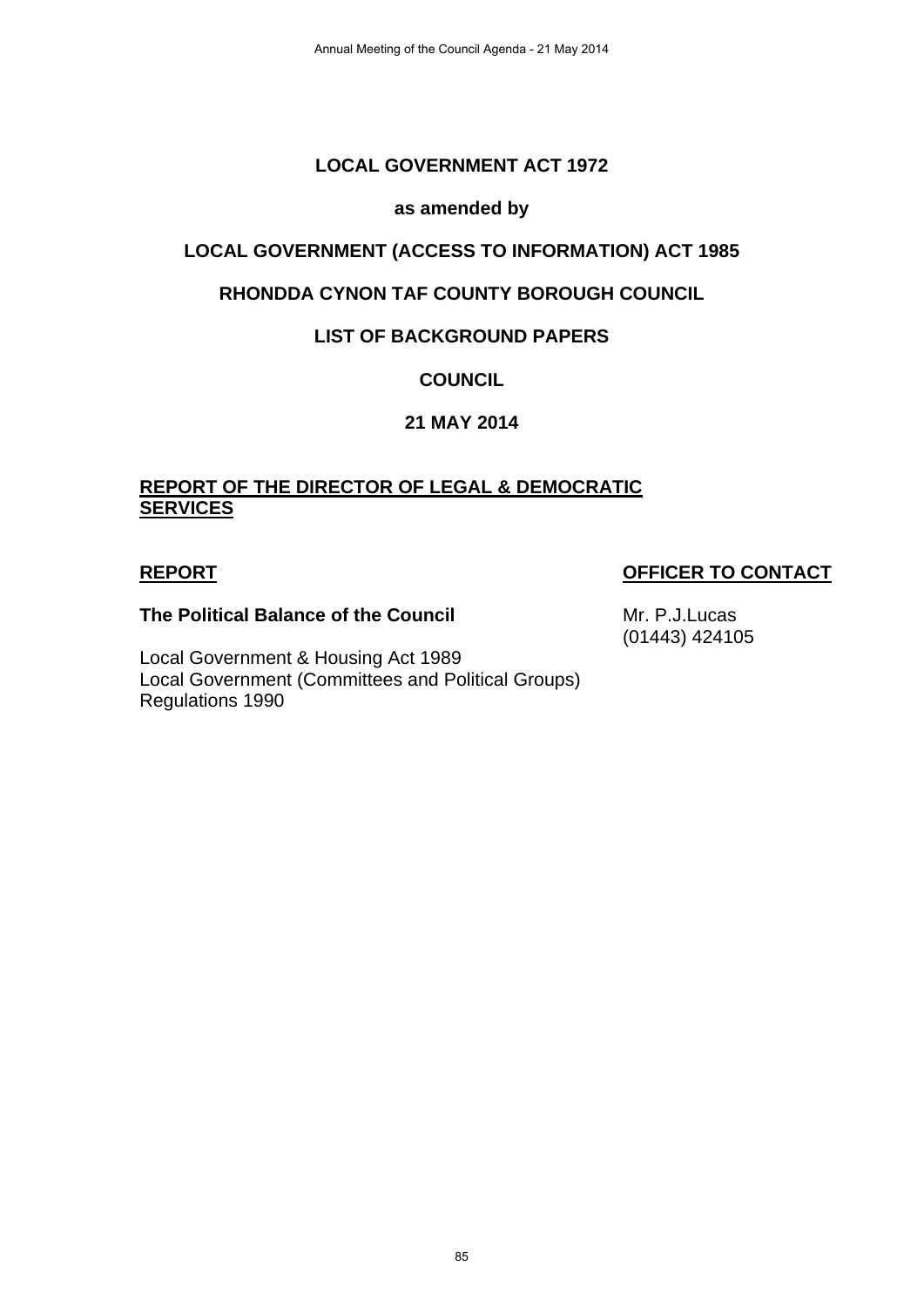# **LOCAL GOVERNMENT ACT 1972**

#### **as amended by**

### **LOCAL GOVERNMENT (ACCESS TO INFORMATION) ACT 1985**

### **RHONDDA CYNON TAF COUNTY BOROUGH COUNCIL**

### **LIST OF BACKGROUND PAPERS**

# **COUNCIL**

### **21 MAY 2014**

### **REPORT OF THE DIRECTOR OF LEGAL & DEMOCRATIC SERVICES**

### **REPORT OFFICER TO CONTACT**

#### **The Political Balance of the Council**

Local Government & Housing Act 1989 Local Government (Committees and Political Groups) Regulations 1990

Mr. P.J.Lucas (01443) 424105